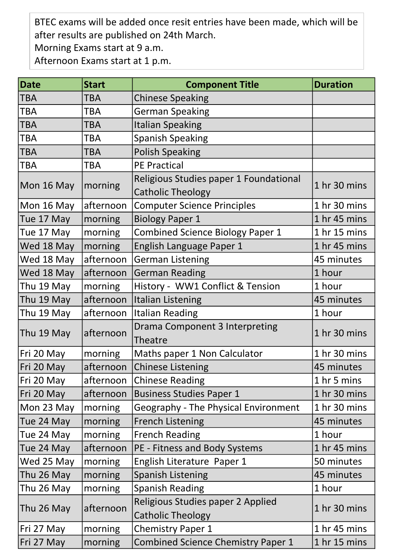BTEC exams will be added once resit entries have been made, which will be after results are published on 24th March.

Morning Exams start at 9 a.m.

Afternoon Exams start at 1 p.m.

| <b>Date</b> | <b>Start</b> | <b>Component Title</b>                                             | <b>Duration</b> |
|-------------|--------------|--------------------------------------------------------------------|-----------------|
| TBA         | <b>TBA</b>   | <b>Chinese Speaking</b>                                            |                 |
| <b>TBA</b>  | <b>TBA</b>   | <b>German Speaking</b>                                             |                 |
| <b>TBA</b>  | <b>TBA</b>   | <b>Italian Speaking</b>                                            |                 |
| <b>TBA</b>  | <b>TBA</b>   | <b>Spanish Speaking</b>                                            |                 |
| <b>TBA</b>  | <b>TBA</b>   | <b>Polish Speaking</b>                                             |                 |
| TBA         | <b>TBA</b>   | <b>PE Practical</b>                                                |                 |
| Mon 16 May  | morning      | Religious Studies paper 1 Foundational<br><b>Catholic Theology</b> | 1 hr 30 mins    |
| Mon 16 May  | afternoon    | <b>Computer Science Principles</b>                                 | 1 hr 30 mins    |
| Tue 17 May  | morning      | <b>Biology Paper 1</b>                                             | 1 hr 45 mins    |
| Tue 17 May  | morning      | <b>Combined Science Biology Paper 1</b>                            | 1 hr 15 mins    |
| Wed 18 May  | morning      | English Language Paper 1                                           | 1 hr 45 mins    |
| Wed 18 May  | afternoon    | <b>German Listening</b>                                            | 45 minutes      |
| Wed 18 May  | afternoon    | <b>German Reading</b>                                              | 1 hour          |
| Thu 19 May  | morning      | History - WW1 Conflict & Tension                                   | 1 hour          |
| Thu 19 May  | afternoon    | <b>Italian Listening</b>                                           | 45 minutes      |
| Thu 19 May  | afternoon    | <b>Italian Reading</b>                                             | 1 hour          |
| Thu 19 May  | afternoon    | <b>Drama Component 3 Interpreting</b><br>Theatre                   | 1 hr 30 mins    |
| Fri 20 May  | morning      | Maths paper 1 Non Calculator                                       | 1 hr 30 mins    |
| Fri 20 May  | afternoon    | Chinese Listening                                                  | 45 minutes      |
| Fri 20 May  | afternoon    | <b>Chinese Reading</b>                                             | 1 hr 5 mins     |
| Fri 20 May  | afternoon    | Business Studies Paper 1                                           | 1 hr 30 mins    |
| Mon 23 May  | morning      | <b>Geography - The Physical Environment</b>                        | 1 hr 30 mins    |
| Tue 24 May  | morning      | <b>French Listening</b>                                            | 45 minutes      |
| Tue 24 May  | morning      | <b>French Reading</b>                                              | 1 hour          |
| Tue 24 May  | afternoon    | <b>PE - Fitness and Body Systems</b>                               | 1 hr 45 mins    |
| Wed 25 May  | morning      | English Literature Paper 1                                         | 50 minutes      |
| Thu 26 May  | morning      | <b>Spanish Listening</b>                                           | 45 minutes      |
| Thu 26 May  | morning      | <b>Spanish Reading</b>                                             | 1 hour          |
| Thu 26 May  | afternoon    | Religious Studies paper 2 Applied<br><b>Catholic Theology</b>      | 1 hr 30 mins    |
| Fri 27 May  | morning      | <b>Chemistry Paper 1</b>                                           | 1 hr 45 mins    |
| Fri 27 May  | morning      | <b>Combined Science Chemistry Paper 1</b>                          | 1 hr 15 mins    |